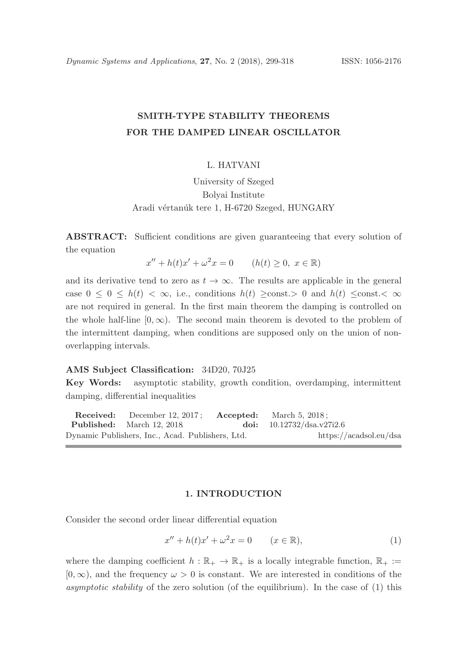# SMITH-TYPE STABILITY THEOREMS FOR THE DAMPED LINEAR OSCILLATOR

# L. HATVANI

University of Szeged Bolyai Institute Aradi vértanúk tere 1, H-6720 Szeged, HUNGARY

ABSTRACT: Sufficient conditions are given guaranteeing that every solution of the equation

 $x'' + h(t)x' + \omega^2 x = 0$   $(h(t) \ge 0, x \in \mathbb{R})$ 

and its derivative tend to zero as  $t \to \infty$ . The results are applicable in the general case  $0 \leq 0 \leq h(t) < \infty$ , i.e., conditions  $h(t) \geq \text{const.} > 0$  and  $h(t) \leq \text{const.} < \infty$ are not required in general. In the first main theorem the damping is controlled on the whole half-line  $[0, \infty)$ . The second main theorem is devoted to the problem of the intermittent damping, when conditions are supposed only on the union of nonoverlapping intervals.

# AMS Subject Classification: 34D20, 70J25

Key Words: asymptotic stability, growth condition, overdamping, intermittent damping, differential inequalities

Received: December 12, 2017; Accepted: March 5, 2018; Published: March 12, 2018. doi: 10.12732/dsa.v27i2.6 Dynamic Publishers, Inc., Acad. Publishers, Ltd. https://acadsol.eu/dsa

#### 1. INTRODUCTION

Consider the second order linear differential equation

$$
x'' + h(t)x' + \omega^2 x = 0 \qquad (x \in \mathbb{R}),
$$
 (1)

where the damping coefficient  $h : \mathbb{R}_+ \to \mathbb{R}_+$  is a locally integrable function,  $\mathbb{R}_+ :=$  $[0, \infty)$ , and the frequency  $\omega > 0$  is constant. We are interested in conditions of the asymptotic stability of the zero solution (of the equilibrium). In the case of (1) this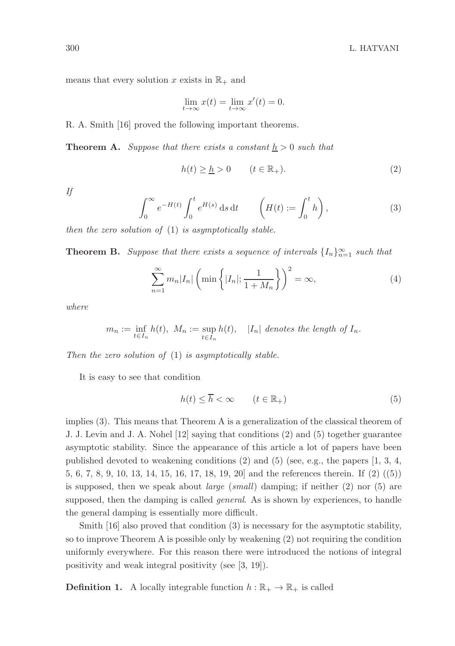means that every solution x exists in  $\mathbb{R}_+$  and

$$
\lim_{t \to \infty} x(t) = \lim_{t \to \infty} x'(t) = 0.
$$

R. A. Smith [16] proved the following important theorems.

**Theorem A.** Suppose that there exists a constant  $h > 0$  such that

$$
h(t) \geq \underline{h} > 0 \qquad (t \in \mathbb{R}_+). \tag{2}
$$

If

$$
\int_0^\infty e^{-H(t)} \int_0^t e^{H(s)} ds dt \qquad \left(H(t) := \int_0^t h\right),\tag{3}
$$

then the zero solution of  $(1)$  is asymptotically stable.

**Theorem B.** Suppose that there exists a sequence of intervals  $\{I_n\}_{n=1}^{\infty}$  such that

$$
\sum_{n=1}^{\infty} m_n |I_n| \left( \min \left\{ |I_n|; \frac{1}{1+M_n} \right\} \right)^2 = \infty,
$$
\n(4)

where

$$
m_n := \inf_{t \in I_n} h(t), \ M_n := \sup_{t \in I_n} h(t), \quad |I_n| \text{ denotes the length of } I_n.
$$

Then the zero solution of  $(1)$  is asymptotically stable.

It is easy to see that condition

$$
h(t) \le \overline{h} < \infty \qquad (t \in \mathbb{R}_+) \tag{5}
$$

implies (3). This means that Theorem A is a generalization of the classical theorem of J. J. Levin and J. A. Nohel [12] saying that conditions (2) and (5) together guarantee asymptotic stability. Since the appearance of this article a lot of papers have been published devoted to weakening conditions  $(2)$  and  $(5)$  (see, e.g., the papers  $[1, 3, 4, ]$ 5, 6, 7, 8, 9, 10, 13, 14, 15, 16, 17, 18, 19, 20] and the references therein. If (2) ((5)) is supposed, then we speak about *large* (*small*) damping; if neither  $(2)$  nor  $(5)$  are supposed, then the damping is called *general*. As is shown by experiences, to handle the general damping is essentially more difficult.

Smith [16] also proved that condition (3) is necessary for the asymptotic stability, so to improve Theorem A is possible only by weakening (2) not requiring the condition uniformly everywhere. For this reason there were introduced the notions of integral positivity and weak integral positivity (see [3, 19]).

**Definition 1.** A locally integrable function  $h : \mathbb{R}_+ \to \mathbb{R}_+$  is called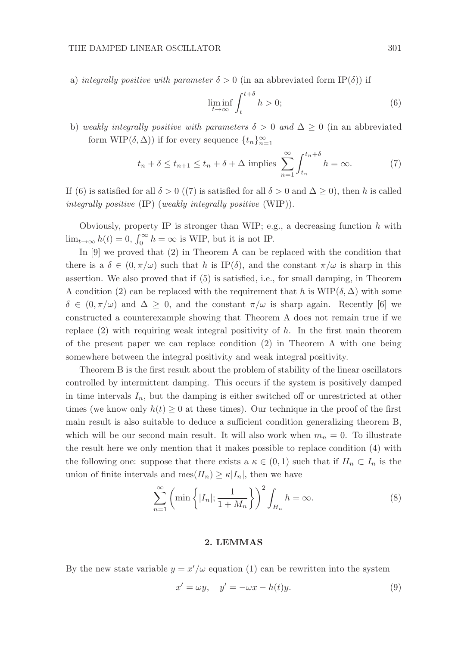a) integrally positive with parameter  $\delta > 0$  (in an abbreviated form IP( $\delta$ )) if

$$
\liminf_{t \to \infty} \int_{t}^{t+\delta} h > 0; \tag{6}
$$

b) weakly integrally positive with parameters  $\delta > 0$  and  $\Delta \geq 0$  (in an abbreviated form  $\text{WIP}(\delta, \Delta)$ ) if for every sequence  $\{t_n\}_{n=1}^{\infty}$ 

$$
t_n + \delta \le t_{n+1} \le t_n + \delta + \Delta \text{ implies } \sum_{n=1}^{\infty} \int_{t_n}^{t_n + \delta} h = \infty.
$$
 (7)

If (6) is satisfied for all  $\delta > 0$  ((7) is satisfied for all  $\delta > 0$  and  $\Delta \ge 0$ ), then h is called integrally positive (IP) (weakly integrally positive (WIP)).

Obviously, property IP is stronger than WIP; e.g., a decreasing function  $h$  with  $\lim_{t\to\infty} h(t) = 0, \int_0^\infty h = \infty$  is WIP, but it is not IP.

In [9] we proved that (2) in Theorem A can be replaced with the condition that there is a  $\delta \in (0, \pi/\omega)$  such that h is IP( $\delta$ ), and the constant  $\pi/\omega$  is sharp in this assertion. We also proved that if (5) is satisfied, i.e., for small damping, in Theorem A condition (2) can be replaced with the requirement that h is  $WIP(\delta, \Delta)$  with some  $\delta \in (0, \pi/\omega)$  and  $\Delta \geq 0$ , and the constant  $\pi/\omega$  is sharp again. Recently [6] we constructed a counterexample showing that Theorem A does not remain true if we replace  $(2)$  with requiring weak integral positivity of h. In the first main theorem of the present paper we can replace condition (2) in Theorem A with one being somewhere between the integral positivity and weak integral positivity.

Theorem B is the first result about the problem of stability of the linear oscillators controlled by intermittent damping. This occurs if the system is positively damped in time intervals  $I_n$ , but the damping is either switched off or unrestricted at other times (we know only  $h(t) \geq 0$  at these times). Our technique in the proof of the first main result is also suitable to deduce a sufficient condition generalizing theorem B, which will be our second main result. It will also work when  $m_n = 0$ . To illustrate the result here we only mention that it makes possible to replace condition (4) with the following one: suppose that there exists a  $\kappa \in (0,1)$  such that if  $H_n \subset I_n$  is the union of finite intervals and  $\operatorname{mes}(H_n) \geq \kappa |I_n|$ , then we have

$$
\sum_{n=1}^{\infty} \left( \min \left\{ |I_n|; \frac{1}{1+M_n} \right\} \right)^2 \int_{H_n} h = \infty. \tag{8}
$$

# 2. LEMMAS

By the new state variable  $y = x'/\omega$  equation (1) can be rewritten into the system

$$
x' = \omega y, \quad y' = -\omega x - h(t)y.
$$
\n(9)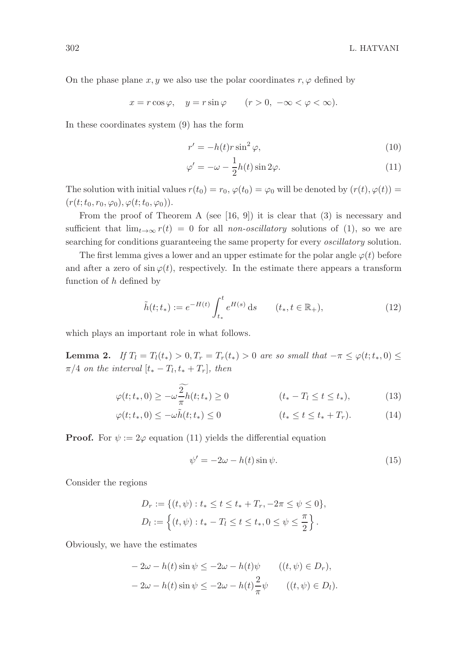On the phase plane x, y we also use the polar coordinates  $r, \varphi$  defined by

$$
x = r\cos\varphi, \quad y = r\sin\varphi \qquad (r > 0, \ -\infty < \varphi < \infty).
$$

In these coordinates system (9) has the form

$$
r' = -h(t)r\sin^2\varphi,\tag{10}
$$

$$
\varphi' = -\omega - \frac{1}{2}h(t)\sin 2\varphi.
$$
 (11)

The solution with initial values  $r(t_0) = r_0$ ,  $\varphi(t_0) = \varphi_0$  will be denoted by  $(r(t), \varphi(t)) =$  $(r(t; t_0, r_0, \varphi_0), \varphi(t; t_0, \varphi_0)).$ 

From the proof of Theorem A (see  $[16, 9]$ ) it is clear that  $(3)$  is necessary and sufficient that  $\lim_{t\to\infty} r(t) = 0$  for all non-oscillatory solutions of (1), so we are searching for conditions guaranteeing the same property for every oscillatory solution.

The first lemma gives a lower and an upper estimate for the polar angle  $\varphi(t)$  before and after a zero of  $\sin \varphi(t)$ , respectively. In the estimate there appears a transform function of h defined by

$$
\tilde{h}(t; t_*) := e^{-H(t)} \int_{t_*}^t e^{H(s)} ds \qquad (t_*, t \in \mathbb{R}_+),
$$
\n(12)

which plays an important role in what follows.

**Lemma 2.** If  $T_l = T_l(t_*) > 0, T_r = T_r(t_*) > 0$  are so small that  $-\pi \leq \varphi(t; t_*, 0) \leq$  $\pi/4$  on the interval  $[t_* - T_l, t_* + T_r]$ , then

$$
\varphi(t; t_*, 0) \ge -\omega \frac{2}{\pi} h(t; t_*) \ge 0 \qquad (t_* - T_l \le t \le t_*), \tag{13}
$$

$$
\varphi(t; t_*, 0) \le -\omega \tilde{h}(t; t_*) \le 0 \qquad (t_* \le t \le t_* + T_r). \tag{14}
$$

**Proof.** For  $\psi := 2\varphi$  equation (11) yields the differential equation

$$
\psi' = -2\omega - h(t)\sin\psi.
$$
\n(15)

Consider the regions

$$
D_r := \{ (t, \psi) : t_* \le t \le t_* + T_r, -2\pi \le \psi \le 0 \},
$$
  

$$
D_l := \{ (t, \psi) : t_* - T_l \le t \le t_*, 0 \le \psi \le \frac{\pi}{2} \}.
$$

Obviously, we have the estimates

$$
-2\omega - h(t)\sin\psi \le -2\omega - h(t)\psi \qquad ((t, \psi) \in D_r),
$$
  

$$
-2\omega - h(t)\sin\psi \le -2\omega - h(t)\frac{2}{\pi}\psi \qquad ((t, \psi) \in D_l).
$$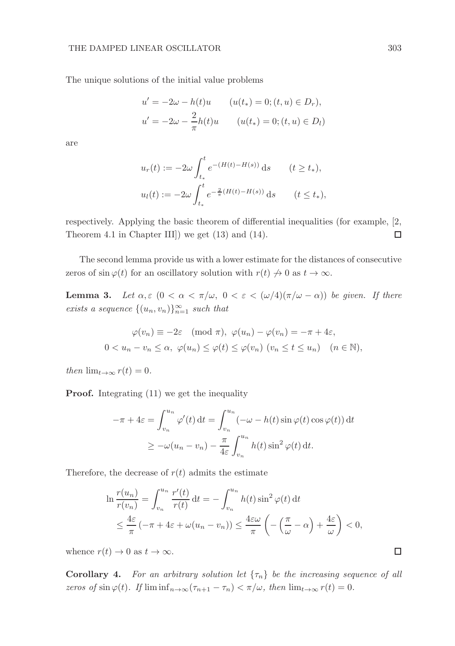The unique solutions of the initial value problems

$$
u' = -2\omega - h(t)u \qquad (u(t_*) = 0; (t, u) \in D_r),
$$
  

$$
u' = -2\omega - \frac{2}{\pi}h(t)u \qquad (u(t_*) = 0; (t, u) \in D_l)
$$

are

$$
u_r(t) := -2\omega \int_{t_*}^t e^{-(H(t) - H(s))} ds \qquad (t \ge t_*),
$$
  

$$
u_l(t) := -2\omega \int_{t_*}^t e^{-\frac{2}{\pi}(H(t) - H(s))} ds \qquad (t \le t_*),
$$

respectively. Applying the basic theorem of differential inequalities (for example, [2, Theorem 4.1 in Chapter III]) we get (13) and (14).  $\Box$ 

The second lemma provide us with a lower estimate for the distances of consecutive zeros of sin  $\varphi(t)$  for an oscillatory solution with  $r(t) \nrightarrow 0$  as  $t \rightarrow \infty$ .

**Lemma 3.** Let  $\alpha, \varepsilon$  ( $0 < \alpha < \pi/\omega$ ,  $0 < \varepsilon < (\omega/4)(\pi/\omega - \alpha)$ ) be given. If there exists a sequence  $\{(u_n, v_n)\}_{n=1}^{\infty}$  such that

$$
\varphi(v_n) \equiv -2\varepsilon \pmod{\pi}, \ \varphi(u_n) - \varphi(v_n) = -\pi + 4\varepsilon,
$$
  

$$
0 < u_n - v_n \le \alpha, \ \varphi(u_n) \le \varphi(t) \le \varphi(v_n) \ (v_n \le t \le u_n) \quad (n \in \mathbb{N}),
$$

then  $\lim_{t\to\infty} r(t) = 0$ .

Proof. Integrating (11) we get the inequality

$$
-\pi + 4\varepsilon = \int_{v_n}^{u_n} \varphi'(t) dt = \int_{v_n}^{u_n} (-\omega - h(t) \sin \varphi(t) \cos \varphi(t)) dt
$$
  

$$
\geq -\omega(u_n - v_n) - \frac{\pi}{4\varepsilon} \int_{v_n}^{u_n} h(t) \sin^2 \varphi(t) dt.
$$

Therefore, the decrease of  $r(t)$  admits the estimate

$$
\ln \frac{r(u_n)}{r(v_n)} = \int_{v_n}^{u_n} \frac{r'(t)}{r(t)} dt = -\int_{v_n}^{u_n} h(t) \sin^2 \varphi(t) dt
$$
  

$$
\leq \frac{4\varepsilon}{\pi} \left( -\pi + 4\varepsilon + \omega(u_n - v_n) \right) \leq \frac{4\varepsilon \omega}{\pi} \left( -\left( \frac{\pi}{\omega} - \alpha \right) + \frac{4\varepsilon}{\omega} \right) < 0,
$$

whence  $r(t) \to 0$  as  $t \to \infty$ .

**Corollary 4.** For an arbitrary solution let  $\{\tau_n\}$  be the increasing sequence of all zeros of  $\sin \varphi(t)$ . If  $\liminf_{n\to\infty} (\tau_{n+1} - \tau_n) < \pi/\omega$ , then  $\lim_{t\to\infty} r(t) = 0$ .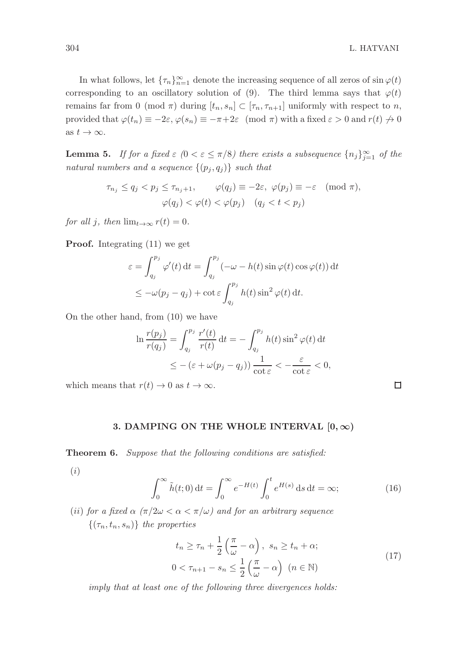$\Box$ 

In what follows, let  $\{\tau_n\}_{n=1}^{\infty}$  denote the increasing sequence of all zeros of  $\sin \varphi(t)$ corresponding to an oscillatory solution of (9). The third lemma says that  $\varphi(t)$ remains far from 0 (mod  $\pi$ ) during  $[t_n, s_n] \subset [\tau_n, \tau_{n+1}]$  uniformly with respect to n, provided that  $\varphi(t_n) \equiv -2\varepsilon$ ,  $\varphi(s_n) \equiv -\pi + 2\varepsilon \pmod{\pi}$  with a fixed  $\varepsilon > 0$  and  $r(t) \neq 0$ as  $t \to \infty$ .

**Lemma 5.** If for a fixed  $\varepsilon$  (0 <  $\varepsilon \leq \pi/8$ ) there exists a subsequence  $\{n_j\}_{j=1}^{\infty}$  of the natural numbers and a sequence  $\{(p_j, q_j)\}\$  such that

$$
\tau_{n_j} \le q_j < p_j \le \tau_{n_j+1}, \qquad \varphi(q_j) \equiv -2\varepsilon, \ \varphi(p_j) \equiv -\varepsilon \pmod{\pi},
$$
\n
$$
\varphi(q_j) < \varphi(t) < \varphi(p_j) \quad (q_j < t < p_j)
$$

for all j, then  $\lim_{t\to\infty} r(t) = 0$ .

Proof. Integrating (11) we get

$$
\varepsilon = \int_{q_j}^{p_j} \varphi'(t) dt = \int_{q_j}^{p_j} (-\omega - h(t) \sin \varphi(t) \cos \varphi(t)) dt
$$
  

$$
\leq -\omega(p_j - q_j) + \cot \varepsilon \int_{q_j}^{p_j} h(t) \sin^2 \varphi(t) dt.
$$

On the other hand, from (10) we have

$$
\ln \frac{r(p_j)}{r(q_j)} = \int_{q_j}^{p_j} \frac{r'(t)}{r(t)} dt = -\int_{q_j}^{p_j} h(t) \sin^2 \varphi(t) dt
$$
  

$$
\leq -(\varepsilon + \omega(p_j - q_j)) \frac{1}{\cot \varepsilon} < -\frac{\varepsilon}{\cot \varepsilon} < 0,
$$

which means that  $r(t) \to 0$  as  $t \to \infty$ .

### 3. DAMPING ON THE WHOLE INTERVAL  $[0, \infty)$

Theorem 6. Suppose that the following conditions are satisfied:

(i)

$$
\int_0^\infty \tilde{h}(t;0) dt = \int_0^\infty e^{-H(t)} \int_0^t e^{H(s)} ds dt = \infty;
$$
 (16)

(ii) for a fixed  $\alpha$  ( $\pi/2\omega < \alpha < \pi/\omega$ ) and for an arbitrary sequence  $\{(\tau_n, t_n, s_n)\}\$  the properties

$$
t_n \ge \tau_n + \frac{1}{2} \left( \frac{\pi}{\omega} - \alpha \right), \quad s_n \ge t_n + \alpha;
$$
  

$$
0 < \tau_{n+1} - s_n \le \frac{1}{2} \left( \frac{\pi}{\omega} - \alpha \right) \quad (n \in \mathbb{N})
$$
\n
$$
(17)
$$

imply that at least one of the following three divergences holds: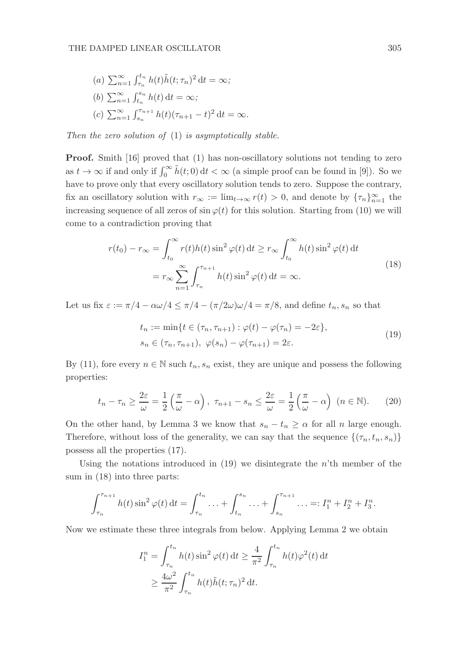(a) 
$$
\sum_{n=1}^{\infty} \int_{\tau_n}^{t_n} h(t) \tilde{h}(t; \tau_n)^2 dt = \infty;
$$
  
\n(b)  $\sum_{n=1}^{\infty} \int_{t_n}^{s_n} h(t) dt = \infty;$   
\n(c)  $\sum_{n=1}^{\infty} \int_{s_n}^{\tau_{n+1}} h(t) (\tau_{n+1} - t)^2 dt = \infty.$ 

Then the zero solution of (1) is asymptotically stable.

Proof. Smith [16] proved that (1) has non-oscillatory solutions not tending to zero as  $t \to \infty$  if and only if  $\int_0^\infty \tilde{h}(t; 0) dt < \infty$  (a simple proof can be found in [9]). So we have to prove only that every oscillatory solution tends to zero. Suppose the contrary, fix an oscillatory solution with  $r_{\infty} := \lim_{t \to \infty} r(t) > 0$ , and denote by  $\{\tau_n\}_{n=1}^{\infty}$  the increasing sequence of all zeros of  $\sin \varphi(t)$  for this solution. Starting from (10) we will come to a contradiction proving that

$$
r(t_0) - r_{\infty} = \int_{t_0}^{\infty} r(t)h(t)\sin^2\varphi(t) dt \ge r_{\infty} \int_{t_0}^{\infty} h(t)\sin^2\varphi(t) dt
$$
  
=  $r_{\infty} \sum_{n=1}^{\infty} \int_{\tau_n}^{\tau_{n+1}} h(t)\sin^2\varphi(t) dt = \infty.$  (18)

Let us fix  $\varepsilon := \pi/4 - \alpha\omega/4 \leq \pi/4 - (\pi/2\omega)\omega/4 = \pi/8$ , and define  $t_n, s_n$  so that

$$
t_n := \min\{t \in (\tau_n, \tau_{n+1}) : \varphi(t) - \varphi(\tau_n) = -2\varepsilon\},\
$$
  

$$
s_n \in (\tau_n, \tau_{n+1}), \varphi(s_n) - \varphi(\tau_{n+1}) = 2\varepsilon.
$$
 (19)

By (11), fore every  $n \in \mathbb{N}$  such  $t_n, s_n$  exist, they are unique and possess the following properties:

$$
t_n - \tau_n \ge \frac{2\varepsilon}{\omega} = \frac{1}{2} \left( \frac{\pi}{\omega} - \alpha \right), \quad \tau_{n+1} - s_n \le \frac{2\varepsilon}{\omega} = \frac{1}{2} \left( \frac{\pi}{\omega} - \alpha \right) \quad (n \in \mathbb{N}). \tag{20}
$$

On the other hand, by Lemma 3 we know that  $s_n - t_n \geq \alpha$  for all n large enough. Therefore, without loss of the generality, we can say that the sequence  $\{(\tau_n, t_n, s_n)\}$ possess all the properties (17).

Using the notations introduced in  $(19)$  we disintegrate the *n*'th member of the sum in (18) into three parts:

$$
\int_{\tau_n}^{\tau_{n+1}} h(t) \sin^2 \varphi(t) dt = \int_{\tau_n}^{t_n} \dots + \int_{t_n}^{s_n} \dots + \int_{s_n}^{\tau_{n+1}} \dots =: I_1^n + I_2^n + I_3^n.
$$

Now we estimate these three integrals from below. Applying Lemma 2 we obtain

$$
I_1^n = \int_{\tau_n}^{t_n} h(t) \sin^2 \varphi(t) dt \ge \frac{4}{\pi^2} \int_{\tau_n}^{t_n} h(t) \varphi^2(t) dt
$$
  
 
$$
\ge \frac{4\omega^2}{\pi^2} \int_{\tau_n}^{t_n} h(t) \tilde{h}(t; \tau_n)^2 dt.
$$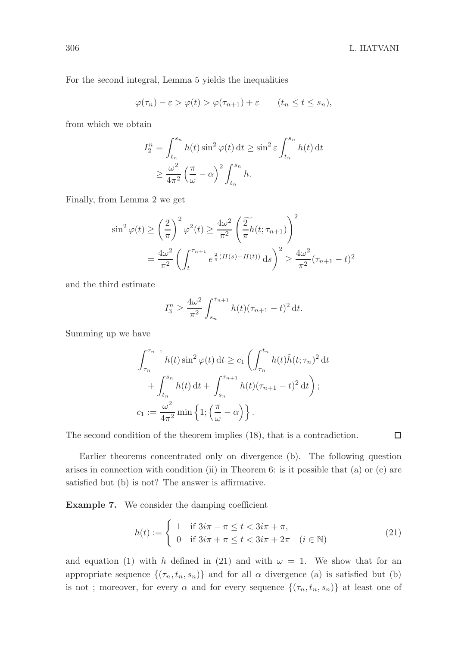$\Box$ 

For the second integral, Lemma 5 yields the inequalities

$$
\varphi(\tau_n) - \varepsilon > \varphi(t) > \varphi(\tau_{n+1}) + \varepsilon \qquad (t_n \le t \le s_n),
$$

from which we obtain

$$
I_2^n = \int_{t_n}^{s_n} h(t) \sin^2 \varphi(t) dt \ge \sin^2 \varepsilon \int_{t_n}^{s_n} h(t) dt
$$
  
 
$$
\ge \frac{\omega^2}{4\pi^2} \left(\frac{\pi}{\omega} - \alpha\right)^2 \int_{t_n}^{s_n} h.
$$

Finally, from Lemma 2 we get

$$
\sin^2 \varphi(t) \ge \left(\frac{2}{\pi}\right)^2 \varphi^2(t) \ge \frac{4\omega^2}{\pi^2} \left(\frac{2}{\pi} h(t; \tau_{n+1})\right)^2
$$

$$
= \frac{4\omega^2}{\pi^2} \left(\int_t^{\tau_{n+1}} e^{\frac{2}{\pi} (H(s) - H(t))} ds\right)^2 \ge \frac{4\omega^2}{\pi^2} (\tau_{n+1} - t)^2
$$

and the third estimate

$$
I_3^n \ge \frac{4\omega^2}{\pi^2} \int_{s_n}^{\tau_{n+1}} h(t) (\tau_{n+1} - t)^2 dt.
$$

Summing up we have

$$
\int_{\tau_n}^{\tau_{n+1}} h(t) \sin^2 \varphi(t) dt \ge c_1 \left( \int_{\tau_n}^{t_n} h(t) \tilde{h}(t; \tau_n)^2 dt \right. \left. + \int_{t_n}^{s_n} h(t) dt + \int_{s_n}^{\tau_{n+1}} h(t) (\tau_{n+1} - t)^2 dt \right);
$$
  
\n
$$
c_1 := \frac{\omega^2}{4\pi^2} \min \left\{ 1; \left( \frac{\pi}{\omega} - \alpha \right) \right\}.
$$

The second condition of the theorem implies (18), that is a contradiction.

Earlier theorems concentrated only on divergence (b). The following question arises in connection with condition (ii) in Theorem 6: is it possible that (a) or (c) are satisfied but (b) is not? The answer is affirmative.

Example 7. We consider the damping coefficient

$$
h(t) := \begin{cases} 1 & \text{if } 3i\pi - \pi \le t < 3i\pi + \pi, \\ 0 & \text{if } 3i\pi + \pi \le t < 3i\pi + 2\pi \quad (i \in \mathbb{N}) \end{cases}
$$
(21)

and equation (1) with h defined in (21) and with  $\omega = 1$ . We show that for an appropriate sequence  $\{(\tau_n, t_n, s_n)\}\$ and for all  $\alpha$  divergence (a) is satisfied but (b) is not; moreover, for every  $\alpha$  and for every sequence  $\{(\tau_n, t_n, s_n)\}\$  at least one of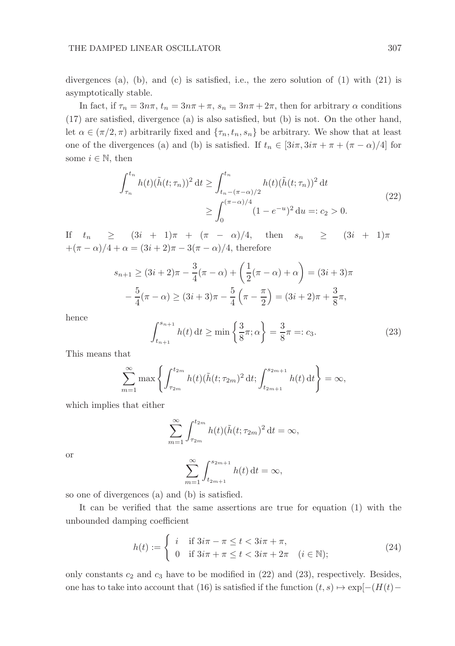divergences (a), (b), and (c) is satisfied, i.e., the zero solution of  $(1)$  with  $(21)$  is asymptotically stable.

In fact, if  $\tau_n = 3n\pi$ ,  $t_n = 3n\pi + \pi$ ,  $s_n = 3n\pi + 2\pi$ , then for arbitrary  $\alpha$  conditions (17) are satisfied, divergence (a) is also satisfied, but (b) is not. On the other hand, let  $\alpha \in (\pi/2, \pi)$  arbitrarily fixed and  $\{\tau_n, t_n, s_n\}$  be arbitrary. We show that at least one of the divergences (a) and (b) is satisfied. If  $t_n \in [3i\pi, 3i\pi + \pi + (\pi - \alpha)/4]$  for some  $i \in \mathbb{N}$ , then

$$
\int_{\tau_n}^{t_n} h(t)(\tilde{h}(t; \tau_n))^2 dt \ge \int_{t_n - (\pi - \alpha)/2}^{t_n} h(t)(\tilde{h}(t; \tau_n))^2 dt
$$
  
 
$$
\ge \int_0^{(\pi - \alpha)/4} (1 - e^{-u})^2 du =: c_2 > 0.
$$
 (22)

If  $t_n$  >  $(3i + 1)\pi + (\pi - \alpha)/4$ , then  $s_n$  >  $(3i + 1)\pi$  $+(\pi - \alpha)/4 + \alpha = (3i + 2)\pi - 3(\pi - \alpha)/4$ , therefore

$$
s_{n+1} \ge (3i + 2)\pi - \frac{3}{4}(\pi - \alpha) + \left(\frac{1}{2}(\pi - \alpha) + \alpha\right) = (3i + 3)\pi
$$

$$
-\frac{5}{4}(\pi - \alpha) \ge (3i + 3)\pi - \frac{5}{4}\left(\pi - \frac{\pi}{2}\right) = (3i + 2)\pi + \frac{3}{8}\pi,
$$

hence

$$
\int_{t_{n+1}}^{s_{n+1}} h(t) dt \ge \min\left\{\frac{3}{8}\pi, \alpha\right\} = \frac{3}{8}\pi =: c_3.
$$
 (23)

This means that

$$
\sum_{m=1}^{\infty} \max \left\{ \int_{\tau_{2m}}^{t_{2m}} h(t) (\tilde{h}(t; \tau_{2m})^2 dt; \int_{t_{2m+1}}^{s_{2m+1}} h(t) dt \right\} = \infty,
$$

which implies that either

$$
\sum_{m=1}^{\infty} \int_{\tau_{2m}}^{t_{2m}} h(t) (\tilde{h}(t; \tau_{2m})^2 dt = \infty,
$$

or

$$
\sum_{m=1}^{\infty} \int_{t_{2m+1}}^{s_{2m+1}} h(t) dt = \infty,
$$

so one of divergences (a) and (b) is satisfied.

It can be verified that the same assertions are true for equation (1) with the unbounded damping coefficient

$$
h(t) := \begin{cases} i & \text{if } 3i\pi - \pi \le t < 3i\pi + \pi, \\ 0 & \text{if } 3i\pi + \pi \le t < 3i\pi + 2\pi \quad (i \in \mathbb{N}); \end{cases}
$$
 (24)

only constants  $c_2$  and  $c_3$  have to be modified in (22) and (23), respectively. Besides, one has to take into account that (16) is satisfied if the function  $(t, s) \mapsto \exp[-(H(t)-$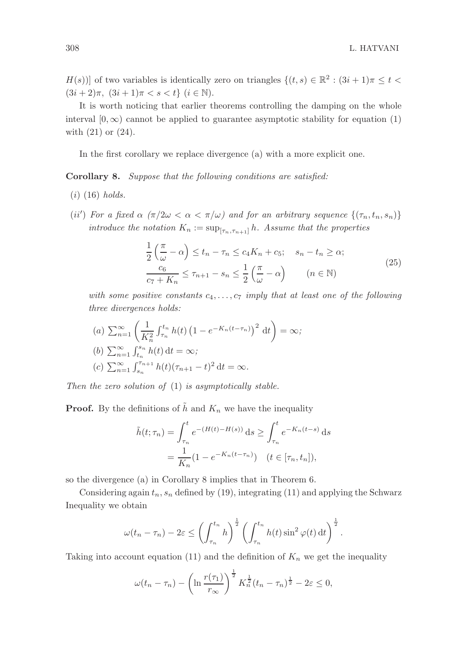$H(s)$ ] of two variables is identically zero on triangles  $\{(t, s) \in \mathbb{R}^2 : (3i + 1)\pi \leq t <$  $(3i+2)\pi$ ,  $(3i+1)\pi < s < t$   $(i \in \mathbb{N})$ .

It is worth noticing that earlier theorems controlling the damping on the whole interval  $[0, \infty)$  cannot be applied to guarantee asymptotic stability for equation (1) with (21) or (24).

In the first corollary we replace divergence (a) with a more explicit one.

Corollary 8. Suppose that the following conditions are satisfied:

- $(i)$  (16) holds.
- (ii') For a fixed  $\alpha$  ( $\pi/2\omega < \alpha < \pi/\omega$ ) and for an arbitrary sequence  $\{(\tau_n, t_n, s_n)\}$ introduce the notation  $K_n := \sup_{[\tau_n, \tau_{n+1}]} h$ . Assume that the properties

$$
\frac{1}{2}\left(\frac{\pi}{\omega}-\alpha\right) \le t_n - \tau_n \le c_4 K_n + c_5; \quad s_n - t_n \ge \alpha;
$$
\n
$$
\frac{c_6}{c_7 + K_n} \le \tau_{n+1} - s_n \le \frac{1}{2}\left(\frac{\pi}{\omega}-\alpha\right) \qquad (n \in \mathbb{N})
$$
\n
$$
(25)
$$

with some positive constants  $c_4, \ldots, c_7$  imply that at least one of the following three divergences holds:

(a) 
$$
\sum_{n=1}^{\infty} \left( \frac{1}{K_n^2} \int_{\tau_n}^{t_n} h(t) \left( 1 - e^{-K_n(t - \tau_n)} \right)^2 dt \right) = \infty;
$$
  
\n(b)  $\sum_{n=1}^{\infty} \int_{t_n}^{s_n} h(t) dt = \infty;$   
\n(c)  $\sum_{n=1}^{\infty} \int_{s_n}^{\tau_{n+1}} h(t) (\tau_{n+1} - t)^2 dt = \infty.$ 

Then the zero solution of (1) is asymptotically stable.

**Proof.** By the definitions of  $\tilde{h}$  and  $K_n$  we have the inequality

$$
\tilde{h}(t; \tau_n) = \int_{\tau_n}^t e^{-(H(t) - H(s))} ds \ge \int_{\tau_n}^t e^{-K_n(t-s)} ds
$$

$$
= \frac{1}{K_n} (1 - e^{-K_n(t - \tau_n)}) \quad (t \in [\tau_n, t_n]),
$$

so the divergence (a) in Corollary 8 implies that in Theorem 6.

Considering again  $t_n$ ,  $s_n$  defined by (19), integrating (11) and applying the Schwarz Inequality we obtain

$$
\omega(t_n-\tau_n)-2\varepsilon\leq \left(\int_{\tau_n}^{t_n}h\right)^{\frac{1}{2}}\left(\int_{\tau_n}^{t_n}h(t)\sin^2\varphi(t)\,\mathrm{d}t\right)^{\frac{1}{2}}.
$$

Taking into account equation (11) and the definition of  $K_n$  we get the inequality

$$
\omega(t_n - \tau_n) - \left(\ln \frac{r(\tau_1)}{r_\infty}\right)^{\frac{1}{2}} K_n^{\frac{1}{2}} (t_n - \tau_n)^{\frac{1}{2}} - 2\varepsilon \le 0,
$$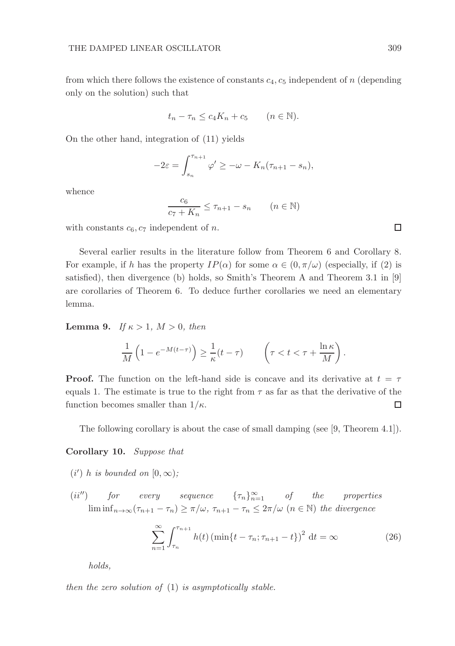from which there follows the existence of constants  $c_4$ ,  $c_5$  independent of n (depending only on the solution) such that

$$
t_n - \tau_n \le c_4 K_n + c_5 \qquad (n \in \mathbb{N}).
$$

On the other hand, integration of (11) yields

$$
-2\varepsilon = \int_{s_n}^{\tau_{n+1}} \varphi' \geq -\omega - K_n(\tau_{n+1} - s_n),
$$

whence

$$
\frac{c_6}{c_7 + K_n} \le \tau_{n+1} - s_n \qquad (n \in \mathbb{N})
$$

with constants  $c_6$ ,  $c_7$  independent of n.

Several earlier results in the literature follow from Theorem 6 and Corollary 8. For example, if h has the property  $IP(\alpha)$  for some  $\alpha \in (0, \pi/\omega)$  (especially, if (2) is satisfied), then divergence (b) holds, so Smith's Theorem A and Theorem 3.1 in [9] are corollaries of Theorem 6. To deduce further corollaries we need an elementary lemma.

**Lemma 9.** If  $\kappa > 1$ ,  $M > 0$ , then

$$
\frac{1}{M}\left(1-e^{-M(t-\tau)}\right)\geq \frac{1}{\kappa}(t-\tau)\qquad \left(\tau
$$

**Proof.** The function on the left-hand side is concave and its derivative at  $t = \tau$ equals 1. The estimate is true to the right from  $\tau$  as far as that the derivative of the function becomes smaller than  $1/\kappa$ . □

The following corollary is about the case of small damping (see [9, Theorem 4.1]).

### Corollary 10. Suppose that

- (i') h is bounded on  $[0, \infty)$ ;
- (ii'') for every sequence  $\{\tau_n\}_{n=1}^{\infty}$  of the properties  $\liminf_{n\to\infty}$   $(\tau_{n+1} - \tau_n) \geq \pi/\omega$ ,  $\tau_{n+1} - \tau_n \leq 2\pi/\omega$   $(n \in \mathbb{N})$  the divergence

$$
\sum_{n=1}^{\infty} \int_{\tau_n}^{\tau_{n+1}} h(t) \left( \min\{t - \tau_n; \tau_{n+1} - t\} \right)^2 dt = \infty
$$
 (26)

holds,

then the zero solution of  $(1)$  is asymptotically stable.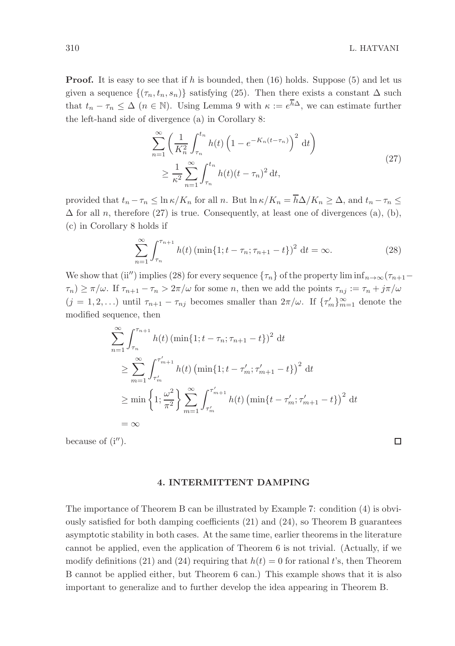$\Box$ 

**Proof.** It is easy to see that if h is bounded, then  $(16)$  holds. Suppose  $(5)$  and let us given a sequence  $\{(\tau_n, t_n, s_n)\}\$  satisfying (25). Then there exists a constant  $\Delta$  such that  $t_n - \tau_n \leq \Delta$  ( $n \in \mathbb{N}$ ). Using Lemma 9 with  $\kappa := e^{\overline{h}\Delta}$ , we can estimate further the left-hand side of divergence (a) in Corollary 8:

$$
\sum_{n=1}^{\infty} \left( \frac{1}{K_n^2} \int_{\tau_n}^{t_n} h(t) \left( 1 - e^{-K_n(t - \tau_n)} \right)^2 dt \right)
$$
  
 
$$
\geq \frac{1}{\kappa^2} \sum_{n=1}^{\infty} \int_{\tau_n}^{t_n} h(t) (t - \tau_n)^2 dt,
$$
 (27)

provided that  $t_n - \tau_n \leq \ln \kappa / K_n$  for all n. But  $\ln \kappa / K_n = \overline{h} \Delta / K_n \geq \Delta$ , and  $t_n - \tau_n \leq$  $\Delta$  for all n, therefore (27) is true. Consequently, at least one of divergences (a), (b), (c) in Corollary 8 holds if

$$
\sum_{n=1}^{\infty} \int_{\tau_n}^{\tau_{n+1}} h(t) \left( \min\{1; t - \tau_n; \tau_{n+1} - t\} \right)^2 dt = \infty.
$$
 (28)

We show that (ii'') implies (28) for every sequence  $\{\tau_n\}$  of the property lim inf $n \to \infty$  ( $\tau_{n+1}$ –  $\tau_n) \geq \pi/\omega$ . If  $\tau_{n+1} - \tau_n > 2\pi/\omega$  for some n, then we add the points  $\tau_{nj} := \tau_n + j\pi/\omega$  $(j = 1, 2, ...)$  until  $\tau_{n+1} - \tau_{nj}$  becomes smaller than  $2\pi/\omega$ . If  $\{\tau'_m\}_{m=1}^{\infty}$  denote the modified sequence, then

$$
\sum_{n=1}^{\infty} \int_{\tau_n}^{\tau_{n+1}} h(t) \left( \min\{1; t - \tau_n; \tau_{n+1} - t\} \right)^2 dt
$$
  
\n
$$
\geq \sum_{m=1}^{\infty} \int_{\tau'_m}^{\tau'_{m+1}} h(t) \left( \min\{1; t - \tau'_m; \tau'_{m+1} - t\} \right)^2 dt
$$
  
\n
$$
\geq \min \left\{ 1; \frac{\omega^2}{\pi^2} \right\} \sum_{m=1}^{\infty} \int_{\tau'_m}^{\tau'_{m+1}} h(t) \left( \min\{t - \tau'_m; \tau'_{m+1} - t\} \right)^2 dt
$$
  
\n
$$
= \infty
$$

because of  $(i'')$ .

#### 4. INTERMITTENT DAMPING

The importance of Theorem B can be illustrated by Example 7: condition (4) is obviously satisfied for both damping coefficients  $(21)$  and  $(24)$ , so Theorem B guarantees asymptotic stability in both cases. At the same time, earlier theorems in the literature cannot be applied, even the application of Theorem 6 is not trivial. (Actually, if we modify definitions (21) and (24) requiring that  $h(t) = 0$  for rational t's, then Theorem B cannot be applied either, but Theorem 6 can.) This example shows that it is also important to generalize and to further develop the idea appearing in Theorem B.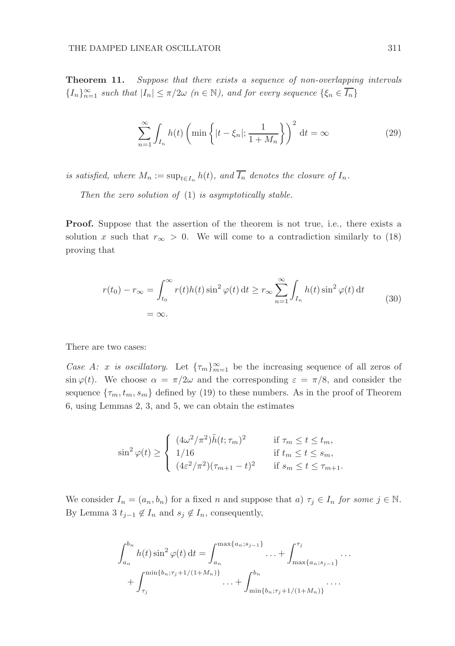Theorem 11. Suppose that there exists a sequence of non-overlapping intervals  ${I_n}_{n=1}^{\infty}$  such that  $|I_n| \leq \pi/2\omega$   $(n \in \mathbb{N})$ , and for every sequence  $\{\xi_n \in \overline{I_n}\}$ 

$$
\sum_{n=1}^{\infty} \int_{I_n} h(t) \left( \min \left\{ |t - \xi_n|; \frac{1}{1 + M_n} \right\} \right)^2 dt = \infty
$$
 (29)

is satisfied, where  $M_n := \sup_{t \in I_n} h(t)$ , and  $I_n$  denotes the closure of  $I_n$ .

Then the zero solution of  $(1)$  is asymptotically stable.

Proof. Suppose that the assertion of the theorem is not true, i.e., there exists a solution x such that  $r_{\infty} > 0$ . We will come to a contradiction similarly to (18) proving that

$$
r(t_0) - r_{\infty} = \int_{t_0}^{\infty} r(t)h(t)\sin^2\varphi(t) dt \ge r_{\infty} \sum_{n=1}^{\infty} \int_{I_n} h(t)\sin^2\varphi(t) dt
$$
  
=  $\infty$ . (30)

There are two cases:

Case A: x is oscillatory. Let  $\{\tau_m\}_{m=1}^{\infty}$  be the increasing sequence of all zeros of  $\sin \varphi(t)$ . We choose  $\alpha = \pi/2\omega$  and the corresponding  $\varepsilon = \pi/8$ , and consider the sequence  $\{\tau_m, t_m, s_m\}$  defined by (19) to these numbers. As in the proof of Theorem 6, using Lemmas 2, 3, and 5, we can obtain the estimates

$$
\sin^2 \varphi(t) \ge \begin{cases}\n(4\omega^2/\pi^2)\tilde{h}(t; \tau_m)^2 & \text{if } \tau_m \le t \le t_m, \\
1/16 & \text{if } t_m \le t \le s_m, \\
(4\varepsilon^2/\pi^2)(\tau_{m+1} - t)^2 & \text{if } s_m \le t \le \tau_{m+1}.\n\end{cases}
$$

We consider  $I_n = (a_n, b_n)$  for a fixed n and suppose that  $a) \tau_j \in I_n$  for some  $j \in \mathbb{N}$ . By Lemma 3  $t_{j-1} \notin I_n$  and  $s_j \notin I_n$ , consequently,

$$
\int_{a_n}^{b_n} h(t) \sin^2 \varphi(t) dt = \int_{a_n}^{\max\{a_n; s_{j-1}\}} \dots + \int_{\max\{a_n; s_{j-1}\}}^{\tau_j} \dots
$$

$$
+ \int_{\tau_j}^{\min\{b_n; \tau_j + 1/(1 + M_n)\}} \dots + \int_{\min\{b_n; \tau_j + 1/(1 + M_n)\}}^{b_n} \dots
$$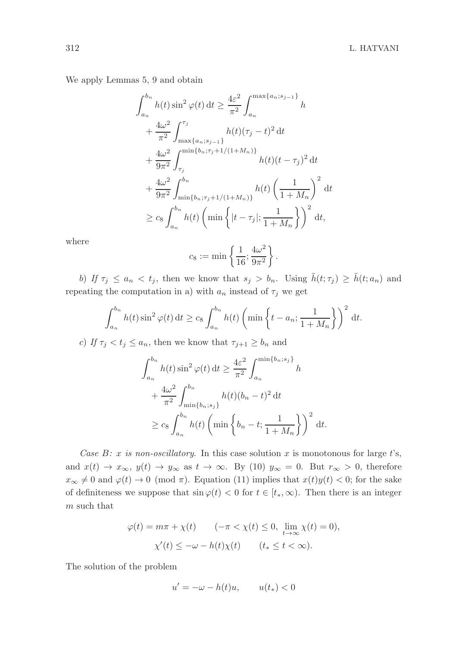We apply Lemmas 5, 9 and obtain

$$
\int_{a_n}^{b_n} h(t) \sin^2 \varphi(t) dt \ge \frac{4\varepsilon^2}{\pi^2} \int_{a_n}^{\max\{a_n; s_{j-1}\}} h
$$
  
+ 
$$
\frac{4\omega^2}{\pi^2} \int_{\max\{a_n; s_{j-1}\}}^{\tau_j} h(t) (\tau_j - t)^2 dt
$$
  
+ 
$$
\frac{4\omega^2}{9\pi^2} \int_{\tau_j}^{\min\{b_n; \tau_j + 1/(1+M_n)\}} h(t) (t - \tau_j)^2 dt
$$
  
+ 
$$
\frac{4\omega^2}{9\pi^2} \int_{\min\{b_n; \tau_j + 1/(1+M_n)\}}^{b_n} h(t) \left(\frac{1}{1+M_n}\right)^2 dt
$$
  

$$
\ge c_8 \int_{a_n}^{b_n} h(t) \left(\min\left\{|t - \tau_j|; \frac{1}{1+M_n}\right\}\right)^2 dt,
$$

where

$$
c_8:=\min\left\{\frac{1}{16};\frac{4\omega^2}{9\pi^2}\right\}
$$

.

b) If  $\tau_j \le a_n < t_j$ , then we know that  $s_j > b_n$ . Using  $\tilde{h}(t; \tau_j) \ge \tilde{h}(t; a_n)$  and repeating the computation in a) with  $a_n$  instead of  $\tau_j$  we get

$$
\int_{a_n}^{b_n} h(t) \sin^2 \varphi(t) dt \ge c_8 \int_{a_n}^{b_n} h(t) \left( \min \left\{ t - a_n; \frac{1}{1 + M_n} \right\} \right)^2 dt.
$$

c) If  $\tau_j < t_j \leq a_n$ , then we know that  $\tau_{j+1} \geq b_n$  and

$$
\int_{a_n}^{b_n} h(t) \sin^2 \varphi(t) dt \ge \frac{4\varepsilon^2}{\pi^2} \int_{a_n}^{\min\{b_n; s_j\}} h
$$
  
+ 
$$
\frac{4\omega^2}{\pi^2} \int_{\min\{b_n; s_j\}}^{b_n} h(t) (b_n - t)^2 dt
$$
  

$$
\ge c_8 \int_{a_n}^{b_n} h(t) \left(\min\left\{b_n - t; \frac{1}{1 + M_n}\right\}\right)^2 dt.
$$

Case B: x is non-oscillatory. In this case solution x is monotonous for large t's, and  $x(t) \to x_{\infty}, y(t) \to y_{\infty}$  as  $t \to \infty$ . By (10)  $y_{\infty} = 0$ . But  $r_{\infty} > 0$ , therefore  $x_{\infty} \neq 0$  and  $\varphi(t) \to 0 \pmod{\pi}$ . Equation (11) implies that  $x(t)y(t) < 0$ ; for the sake of definiteness we suppose that  $\sin \varphi(t) < 0$  for  $t \in [t_*, \infty)$ . Then there is an integer m such that

$$
\varphi(t) = m\pi + \chi(t) \qquad (-\pi < \chi(t) \le 0, \ \lim_{t \to \infty} \chi(t) = 0),
$$
\n
$$
\chi'(t) \le -\omega - h(t)\chi(t) \qquad (t_* \le t < \infty).
$$

The solution of the problem

$$
u' = -\omega - h(t)u, \qquad u(t_*) < 0
$$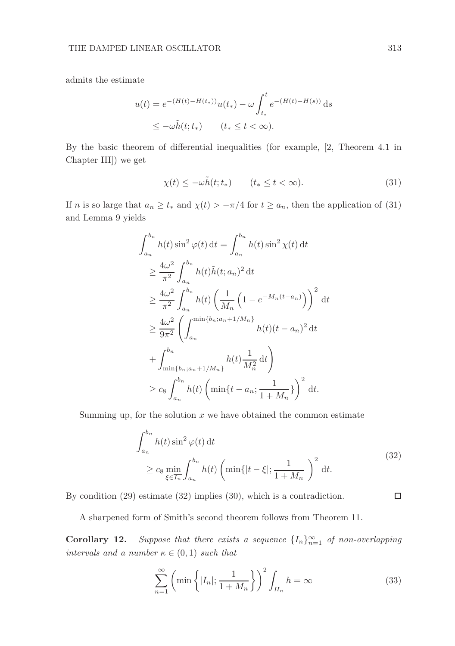admits the estimate

$$
u(t) = e^{-(H(t) - H(t_*))} u(t_*) - \omega \int_{t_*}^t e^{-(H(t) - H(s))} ds
$$
  

$$
\leq -\omega \tilde{h}(t; t_*) \qquad (t_* \leq t < \infty).
$$

By the basic theorem of differential inequalities (for example, [2, Theorem 4.1 in Chapter III]) we get

$$
\chi(t) \le -\omega \tilde{h}(t; t_*) \qquad (t_* \le t < \infty). \tag{31}
$$

If n is so large that  $a_n \ge t_*$  and  $\chi(t) > -\pi/4$  for  $t \ge a_n$ , then the application of (31) and Lemma 9 yields

$$
\int_{a_n}^{b_n} h(t) \sin^2 \varphi(t) dt = \int_{a_n}^{b_n} h(t) \sin^2 \chi(t) dt
$$
  
\n
$$
\geq \frac{4\omega^2}{\pi^2} \int_{a_n}^{b_n} h(t) \tilde{h}(t; a_n)^2 dt
$$
  
\n
$$
\geq \frac{4\omega^2}{\pi^2} \int_{a_n}^{b_n} h(t) \left( \frac{1}{M_n} \left( 1 - e^{-M_n(t - a_n)} \right) \right)^2 dt
$$
  
\n
$$
\geq \frac{4\omega^2}{9\pi^2} \left( \int_{a_n}^{\min\{b_n; a_n + 1/M_n\}} h(t) (t - a_n)^2 dt
$$
  
\n
$$
+ \int_{\min\{b_n; a_n + 1/M_n\}}^{b_n} h(t) \frac{1}{M_n^2} dt \right)
$$
  
\n
$$
\geq c_8 \int_{a_n}^{b_n} h(t) \left( \min\{t - a_n; \frac{1}{1 + M_n}\} \right)^2 dt.
$$

Summing up, for the solution  $x$  we have obtained the common estimate

$$
\int_{a_n}^{b_n} h(t) \sin^2 \varphi(t) dt
$$
\n
$$
\geq c_8 \min_{\xi \in \overline{I_n}} \int_{a_n}^{b_n} h(t) \left( \min\{|t - \xi|; \frac{1}{1 + M_n} \right)^2 dt.
$$
\n(32)

By condition (29) estimate (32) implies (30), which is a contradiction.

A sharpened form of Smith's second theorem follows from Theorem 11.

**Corollary 12.** Suppose that there exists a sequence  $\{I_n\}_{n=1}^{\infty}$  of non-overlapping intervals and a number  $\kappa \in (0,1)$  such that

$$
\sum_{n=1}^{\infty} \left( \min \left\{ |I_n|; \frac{1}{1+M_n} \right\} \right)^2 \int_{H_n} h = \infty \tag{33}
$$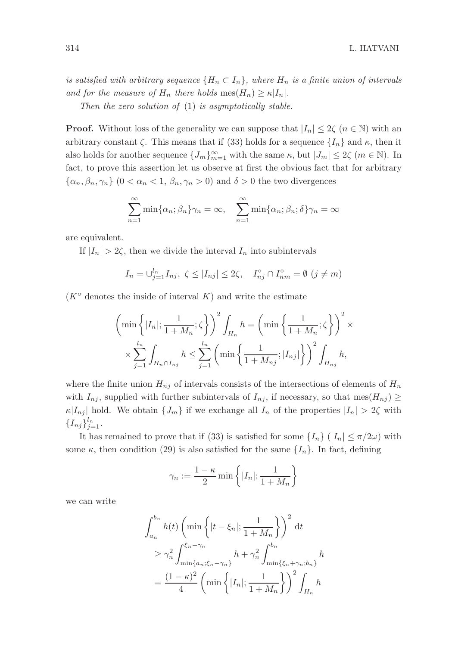is satisfied with arbitrary sequence  $\{H_n \subset I_n\}$ , where  $H_n$  is a finite union of intervals and for the measure of  $H_n$  there holds mes $(H_n) \geq \kappa |I_n|$ .

Then the zero solution of  $(1)$  is asymptotically stable.

**Proof.** Without loss of the generality we can suppose that  $|I_n| \leq 2\zeta$   $(n \in \mathbb{N})$  with an arbitrary constant  $\zeta$ . This means that if (33) holds for a sequence  $\{I_n\}$  and  $\kappa$ , then it also holds for another sequence  $\{J_m\}_{m=1}^{\infty}$  with the same  $\kappa$ , but  $|J_m| \leq 2\zeta$   $(m \in \mathbb{N})$ . In fact, to prove this assertion let us observe at first the obvious fact that for arbitrary  $\{\alpha_n, \beta_n, \gamma_n\}$   $(0 < \alpha_n < 1, \beta_n, \gamma_n > 0)$  and  $\delta > 0$  the two divergences

$$
\sum_{n=1}^{\infty} \min{\{\alpha_n; \beta_n\}}\gamma_n = \infty, \quad \sum_{n=1}^{\infty} \min{\{\alpha_n; \beta_n; \delta\}}\gamma_n = \infty
$$

are equivalent.

If  $|I_n| > 2\zeta$ , then we divide the interval  $I_n$  into subintervals

$$
I_n = \bigcup_{j=1}^{l_n} I_{nj}, \ \zeta \le |I_{nj}| \le 2\zeta, \quad I_{nj}^\circ \cap I_{nm}^\circ = \emptyset \ (j \ne m)
$$

 $(K^{\circ})$  denotes the inside of interval K) and write the estimate

$$
\left(\min\left\{|I_n|; \frac{1}{1+M_n};\zeta\right\}\right)^2 \int_{H_n} h = \left(\min\left\{\frac{1}{1+M_n};\zeta\right\}\right)^2 \times \sum_{j=1}^{l_n} \int_{H_n \cap I_{nj}} h \le \sum_{j=1}^{l_n} \left(\min\left\{\frac{1}{1+M_{nj}};|I_{nj}|\right\}\right)^2 \int_{H_{nj}} h,
$$

where the finite union  $H_{nj}$  of intervals consists of the intersections of elements of  $H_n$ with  $I_{nj}$ , supplied with further subintervals of  $I_{nj}$ , if necessary, so that mes $(H_{nj}) \ge$  $\kappa |I_{nj}|$  hold. We obtain  $\{J_m\}$  if we exchange all  $I_n$  of the properties  $|I_n| > 2\zeta$  with  $\{I_{nj}\}_{j=1}^{l_n}$ .

It has remained to prove that if (33) is satisfied for some  $\{I_n\}$  ( $|I_n| \leq \pi/2\omega$ ) with some  $\kappa$ , then condition (29) is also satisfied for the same  $\{I_n\}$ . In fact, defining

$$
\gamma_n := \frac{1-\kappa}{2} \min \left\{ |I_n|; \frac{1}{1+M_n} \right\}
$$

we can write

$$
\int_{a_n}^{b_n} h(t) \left( \min \left\{ |t - \xi_n|; \frac{1}{1 + M_n} \right\} \right)^2 dt
$$
  
\n
$$
\geq \gamma_n^2 \int_{\min\{a_n; \xi_n - \gamma_n\}}^{ \xi_n - \gamma_n} h + \gamma_n^2 \int_{\min\{\xi_n + \gamma_n; b_n\}}^{b_n} h
$$
  
\n
$$
= \frac{(1 - \kappa)^2}{4} \left( \min \left\{ |I_n|; \frac{1}{1 + M_n} \right\} \right)^2 \int_{H_n} h
$$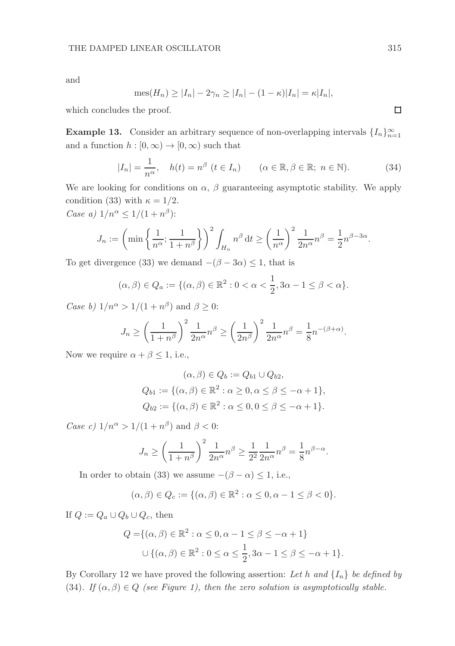and

$$
\operatorname{mes}(H_n) \ge |I_n| - 2\gamma_n \ge |I_n| - (1 - \kappa)|I_n| = \kappa|I_n|,
$$

which concludes the proof.

**Example 13.** Consider an arbitrary sequence of non-overlapping intervals  $\{I_n\}_{n=1}^{\infty}$ and a function  $h : [0, \infty) \to [0, \infty)$  such that

$$
|I_n| = \frac{1}{n^{\alpha}}, \quad h(t) = n^{\beta} \ (t \in I_n) \qquad (\alpha \in \mathbb{R}, \beta \in \mathbb{R}; \ n \in \mathbb{N}). \tag{34}
$$

We are looking for conditions on  $\alpha$ ,  $\beta$  guaranteeing asymptotic stability. We apply condition (33) with  $\kappa = 1/2$ . Case a)  $1/n^{\alpha} \leq 1/(1+n^{\beta})$ :

$$
J_n := \left(\min\left\{\frac{1}{n^{\alpha}};\frac{1}{1+n^{\beta}}\right\}\right)^2 \int_{H_n} n^{\beta} dt \ge \left(\frac{1}{n^{\alpha}}\right)^2 \frac{1}{2n^{\alpha}} n^{\beta} = \frac{1}{2}n^{\beta-3\alpha}.
$$

To get divergence (33) we demand  $-(\beta - 3\alpha) \le 1$ , that is

$$
(\alpha, \beta) \in Q_a := \{ (\alpha, \beta) \in \mathbb{R}^2 : 0 < \alpha < \frac{1}{2}, 3\alpha - 1 \le \beta < \alpha \}.
$$

Case b)  $1/n^{\alpha} > 1/(1+n^{\beta})$  and  $\beta \geq 0$ :

$$
J_n \ge \left(\frac{1}{1+n^{\beta}}\right)^2 \frac{1}{2n^{\alpha}} n^{\beta} \ge \left(\frac{1}{2n^{\beta}}\right)^2 \frac{1}{2n^{\alpha}} n^{\beta} = \frac{1}{8} n^{-(\beta+\alpha)}.
$$

Now we require  $\alpha + \beta \leq 1$ , i.e.,

$$
(\alpha, \beta) \in Q_b := Q_{b1} \cup Q_{b2},
$$
  
\n
$$
Q_{b1} := \{ (\alpha, \beta) \in \mathbb{R}^2 : \alpha \ge 0, \alpha \le \beta \le -\alpha + 1 \},
$$
  
\n
$$
Q_{b2} := \{ (\alpha, \beta) \in \mathbb{R}^2 : \alpha \le 0, 0 \le \beta \le -\alpha + 1 \}.
$$

Case c)  $1/n^{\alpha} > 1/(1+n^{\beta})$  and  $\beta < 0$ :

$$
J_n \ge \left(\frac{1}{1+n^{\beta}}\right)^2 \frac{1}{2n^{\alpha}} n^{\beta} \ge \frac{1}{2^2} \frac{1}{2n^{\alpha}} n^{\beta} = \frac{1}{8} n^{\beta - \alpha}.
$$

In order to obtain (33) we assume  $-(\beta - \alpha) \leq 1$ , i.e.,

$$
(\alpha, \beta) \in Q_c := \{(\alpha, \beta) \in \mathbb{R}^2 : \alpha \leq 0, \alpha - 1 \leq \beta < 0\}.
$$

If  $Q := Q_a \cup Q_b \cup Q_c$ , then

$$
Q = \{ (\alpha, \beta) \in \mathbb{R}^2 : \alpha \le 0, \alpha - 1 \le \beta \le -\alpha + 1 \}
$$
  

$$
\cup \{ (\alpha, \beta) \in \mathbb{R}^2 : 0 \le \alpha \le \frac{1}{2}, 3\alpha - 1 \le \beta \le -\alpha + 1 \}.
$$

By Corollary 12 we have proved the following assertion: Let h and  $\{I_n\}$  be defined by (34). If  $(\alpha, \beta) \in Q$  (see Figure 1), then the zero solution is asymptotically stable.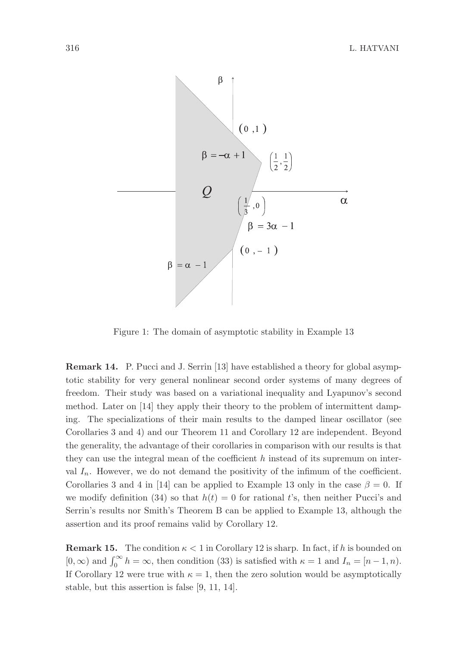

Figure 1: The domain of asymptotic stability in Example 13

Remark 14. P. Pucci and J. Serrin [13] have established a theory for global asymptotic stability for very general nonlinear second order systems of many degrees of freedom. Their study was based on a variational inequality and Lyapunov's second method. Later on [14] they apply their theory to the problem of intermittent damping. The specializations of their main results to the damped linear oscillator (see Corollaries 3 and 4) and our Theorem 11 and Corollary 12 are independent. Beyond the generality, the advantage of their corollaries in comparison with our results is that they can use the integral mean of the coefficient  $h$  instead of its supremum on interval  $I_n$ . However, we do not demand the positivity of the infimum of the coefficient. Corollaries 3 and 4 in [14] can be applied to Example 13 only in the case  $\beta = 0$ . If we modify definition (34) so that  $h(t) = 0$  for rational t's, then neither Pucci's and Serrin's results nor Smith's Theorem B can be applied to Example 13, although the assertion and its proof remains valid by Corollary 12.

**Remark 15.** The condition  $\kappa < 1$  in Corollary 12 is sharp. In fact, if h is bounded on  $[0, \infty)$  and  $\int_0^\infty h = \infty$ , then condition (33) is satisfied with  $\kappa = 1$  and  $I_n = [n-1, n)$ . If Corollary 12 were true with  $\kappa = 1$ , then the zero solution would be asymptotically stable, but this assertion is false [9, 11, 14].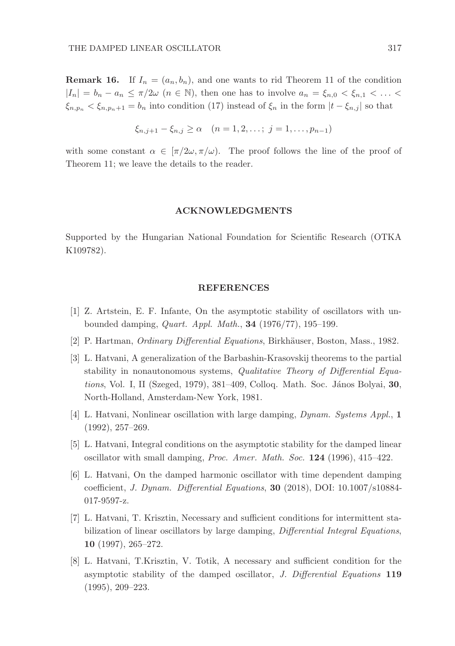**Remark 16.** If  $I_n = (a_n, b_n)$ , and one wants to rid Theorem 11 of the condition  $|I_n| = b_n - a_n \leq \pi/2\omega$   $(n \in \mathbb{N})$ , then one has to involve  $a_n = \xi_{n,0} < \xi_{n,1} < \ldots <$  $\xi_{n,p_n} < \xi_{n,p_n+1} = b_n$  into condition (17) instead of  $\xi_n$  in the form  $|t - \xi_{n,j}|$  so that

$$
\xi_{n,j+1} - \xi_{n,j} \ge \alpha \quad (n = 1, 2, \dots; j = 1, \dots, p_{n-1})
$$

with some constant  $\alpha \in [\pi/2\omega, \pi/\omega]$ . The proof follows the line of the proof of Theorem 11; we leave the details to the reader.

#### ACKNOWLEDGMENTS

Supported by the Hungarian National Foundation for Scientific Research (OTKA K109782).

#### REFERENCES

- [1] Z. Artstein, E. F. Infante, On the asymptotic stability of oscillators with unbounded damping, Quart. Appl. Math., 34 (1976/77), 195–199.
- [2] P. Hartman, *Ordinary Differential Equations*, Birkhäuser, Boston, Mass., 1982.
- [3] L. Hatvani, A generalization of the Barbashin-Krasovskij theorems to the partial stability in nonautonomous systems, *Qualitative Theory of Differential Equa*tions, Vol. I, II (Szeged, 1979),  $381-409$ , Colloq. Math. Soc. János Bolyai,  $30$ , North-Holland, Amsterdam-New York, 1981.
- [4] L. Hatvani, Nonlinear oscillation with large damping, Dynam. Systems Appl., 1 (1992), 257–269.
- [5] L. Hatvani, Integral conditions on the asymptotic stability for the damped linear oscillator with small damping, Proc. Amer. Math. Soc. 124 (1996), 415–422.
- [6] L. Hatvani, On the damped harmonic oscillator with time dependent damping coefficient, J. Dynam. Differential Equations, 30 (2018), DOI: 10.1007/s10884- 017-9597-z.
- [7] L. Hatvani, T. Krisztin, Necessary and sufficient conditions for intermittent stabilization of linear oscillators by large damping, Differential Integral Equations, 10 (1997), 265–272.
- [8] L. Hatvani, T.Krisztin, V. Totik, A necessary and sufficient condition for the asymptotic stability of the damped oscillator, J. Differential Equations 119 (1995), 209–223.